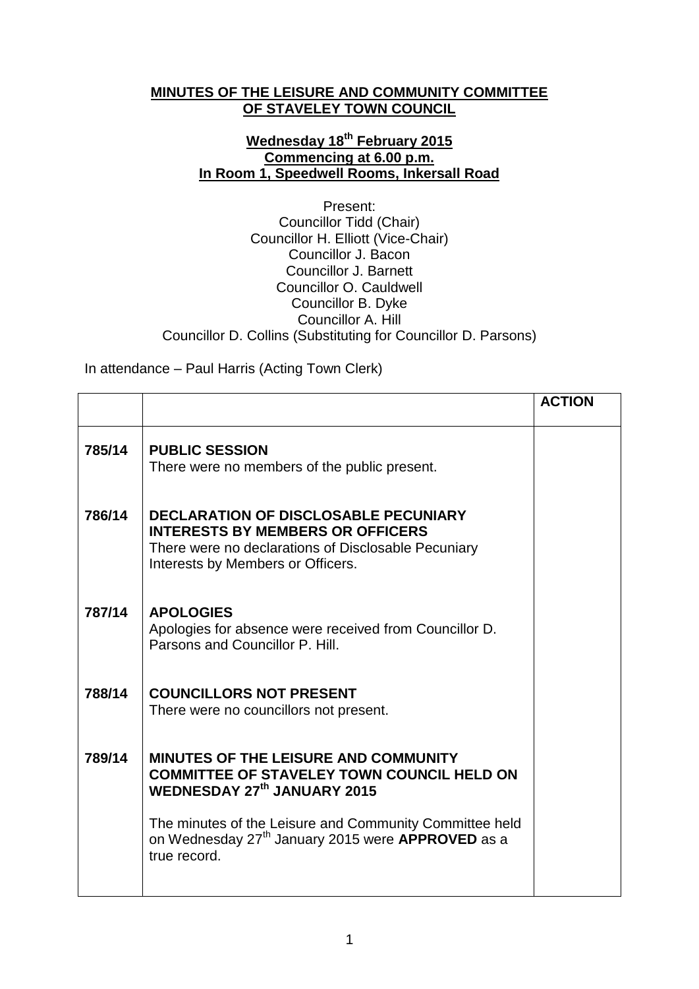## **MINUTES OF THE LEISURE AND COMMUNITY COMMITTEE OF STAVELEY TOWN COUNCIL**

## **Wednesday 18th February 2015 Commencing at 6.00 p.m. In Room 1, Speedwell Rooms, Inkersall Road**

Present: Councillor Tidd (Chair) Councillor H. Elliott (Vice-Chair) Councillor J. Bacon Councillor J. Barnett Councillor O. Cauldwell Councillor B. Dyke Councillor A. Hill Councillor D. Collins (Substituting for Councillor D. Parsons)

In attendance – Paul Harris (Acting Town Clerk)

|        |                                                                                                                                                                             | <b>ACTION</b> |
|--------|-----------------------------------------------------------------------------------------------------------------------------------------------------------------------------|---------------|
| 785/14 | <b>PUBLIC SESSION</b><br>There were no members of the public present.                                                                                                       |               |
| 786/14 | DECLARATION OF DISCLOSABLE PECUNIARY<br><b>INTERESTS BY MEMBERS OR OFFICERS</b><br>There were no declarations of Disclosable Pecuniary<br>Interests by Members or Officers. |               |
| 787/14 | <b>APOLOGIES</b><br>Apologies for absence were received from Councillor D.<br>Parsons and Councillor P. Hill.                                                               |               |
| 788/14 | <b>COUNCILLORS NOT PRESENT</b><br>There were no councillors not present.                                                                                                    |               |
| 789/14 | <b>MINUTES OF THE LEISURE AND COMMUNITY</b><br><b>COMMITTEE OF STAVELEY TOWN COUNCIL HELD ON</b><br><b>WEDNESDAY 27th JANUARY 2015</b>                                      |               |
|        | The minutes of the Leisure and Community Committee held<br>on Wednesday 27 <sup>th</sup> January 2015 were <b>APPROVED</b> as a<br>true record.                             |               |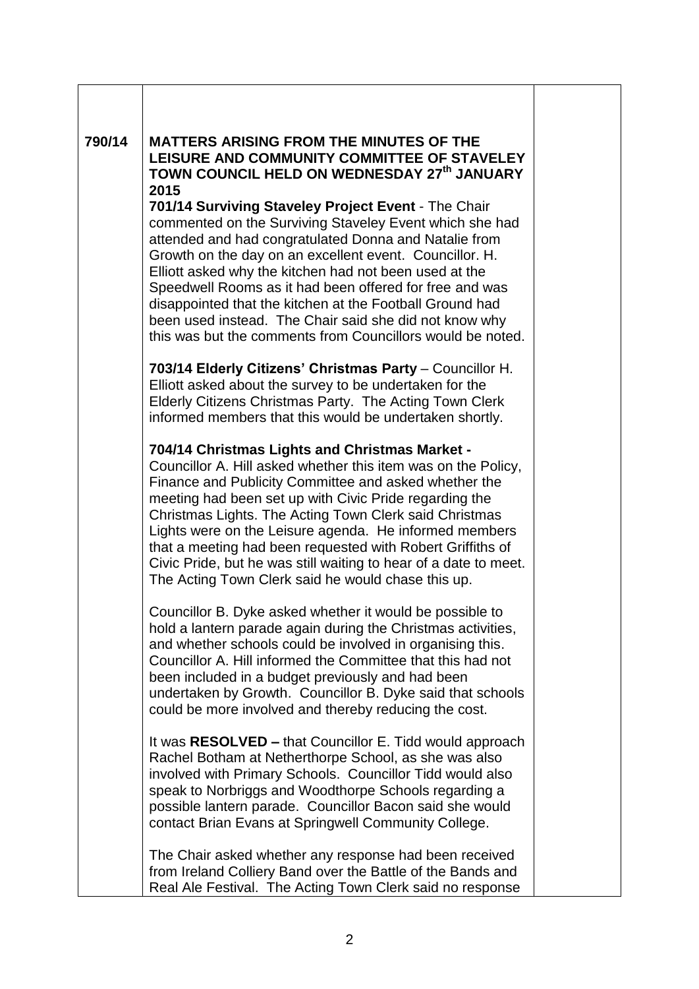| 790/14 | <b>MATTERS ARISING FROM THE MINUTES OF THE</b><br>LEISURE AND COMMUNITY COMMITTEE OF STAVELEY<br>TOWN COUNCIL HELD ON WEDNESDAY 27th JANUARY<br>2015<br>701/14 Surviving Staveley Project Event - The Chair<br>commented on the Surviving Staveley Event which she had<br>attended and had congratulated Donna and Natalie from<br>Growth on the day on an excellent event. Councillor. H.<br>Elliott asked why the kitchen had not been used at the<br>Speedwell Rooms as it had been offered for free and was<br>disappointed that the kitchen at the Football Ground had<br>been used instead. The Chair said she did not know why<br>this was but the comments from Councillors would be noted. |
|--------|-----------------------------------------------------------------------------------------------------------------------------------------------------------------------------------------------------------------------------------------------------------------------------------------------------------------------------------------------------------------------------------------------------------------------------------------------------------------------------------------------------------------------------------------------------------------------------------------------------------------------------------------------------------------------------------------------------|
|        | 703/14 Elderly Citizens' Christmas Party - Councillor H.<br>Elliott asked about the survey to be undertaken for the<br>Elderly Citizens Christmas Party. The Acting Town Clerk<br>informed members that this would be undertaken shortly.                                                                                                                                                                                                                                                                                                                                                                                                                                                           |
|        | 704/14 Christmas Lights and Christmas Market -<br>Councillor A. Hill asked whether this item was on the Policy,<br>Finance and Publicity Committee and asked whether the<br>meeting had been set up with Civic Pride regarding the<br>Christmas Lights. The Acting Town Clerk said Christmas<br>Lights were on the Leisure agenda. He informed members<br>that a meeting had been requested with Robert Griffiths of<br>Civic Pride, but he was still waiting to hear of a date to meet.<br>The Acting Town Clerk said he would chase this up.                                                                                                                                                      |
|        | Councillor B. Dyke asked whether it would be possible to<br>hold a lantern parade again during the Christmas activities,<br>and whether schools could be involved in organising this.<br>Councillor A. Hill informed the Committee that this had not<br>been included in a budget previously and had been<br>undertaken by Growth. Councillor B. Dyke said that schools<br>could be more involved and thereby reducing the cost.                                                                                                                                                                                                                                                                    |
|        | It was RESOLVED - that Councillor E. Tidd would approach<br>Rachel Botham at Netherthorpe School, as she was also<br>involved with Primary Schools. Councillor Tidd would also<br>speak to Norbriggs and Woodthorpe Schools regarding a<br>possible lantern parade. Councillor Bacon said she would<br>contact Brian Evans at Springwell Community College.                                                                                                                                                                                                                                                                                                                                         |
|        | The Chair asked whether any response had been received<br>from Ireland Colliery Band over the Battle of the Bands and<br>Real Ale Festival. The Acting Town Clerk said no response                                                                                                                                                                                                                                                                                                                                                                                                                                                                                                                  |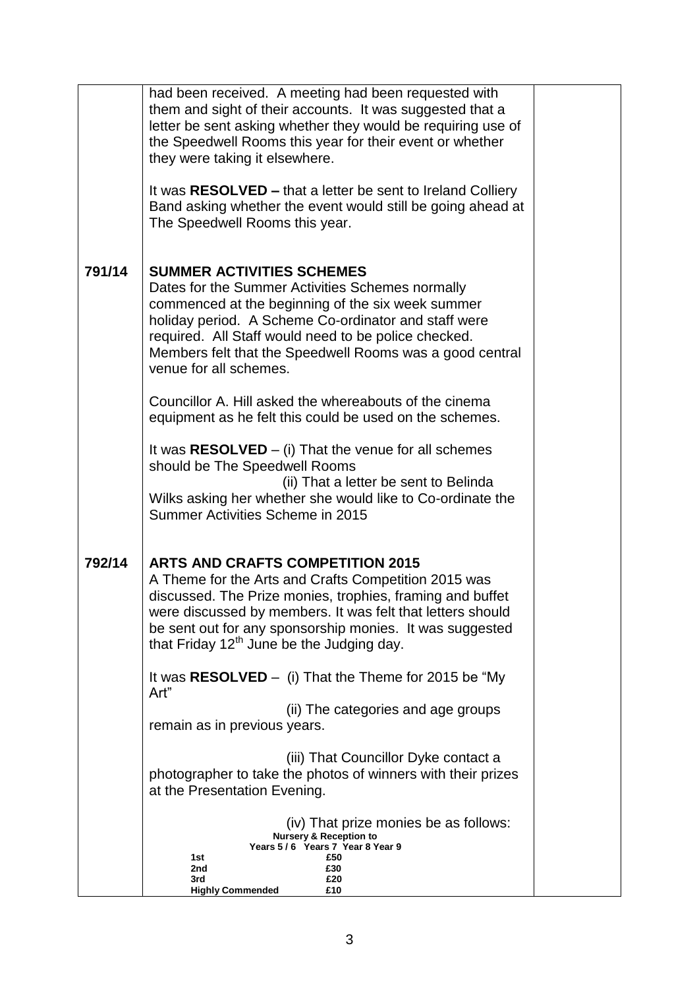|        | had been received. A meeting had been requested with<br>them and sight of their accounts. It was suggested that a<br>letter be sent asking whether they would be requiring use of<br>the Speedwell Rooms this year for their event or whether<br>they were taking it elsewhere.<br>It was RESOLVED – that a letter be sent to Ireland Colliery<br>Band asking whether the event would still be going ahead at<br>The Speedwell Rooms this year. |  |
|--------|-------------------------------------------------------------------------------------------------------------------------------------------------------------------------------------------------------------------------------------------------------------------------------------------------------------------------------------------------------------------------------------------------------------------------------------------------|--|
| 791/14 | <b>SUMMER ACTIVITIES SCHEMES</b><br>Dates for the Summer Activities Schemes normally<br>commenced at the beginning of the six week summer<br>holiday period. A Scheme Co-ordinator and staff were<br>required. All Staff would need to be police checked.<br>Members felt that the Speedwell Rooms was a good central<br>venue for all schemes.                                                                                                 |  |
|        | Councillor A. Hill asked the whereabouts of the cinema<br>equipment as he felt this could be used on the schemes.                                                                                                                                                                                                                                                                                                                               |  |
|        | It was $RESOLVED - (i)$ That the venue for all schemes<br>should be The Speedwell Rooms<br>(ii) That a letter be sent to Belinda<br>Wilks asking her whether she would like to Co-ordinate the<br>Summer Activities Scheme in 2015                                                                                                                                                                                                              |  |
| 792/14 | <b>ARTS AND CRAFTS COMPETITION 2015</b><br>A Theme for the Arts and Crafts Competition 2015 was<br>discussed. The Prize monies, trophies, framing and buffet<br>were discussed by members. It was felt that letters should<br>be sent out for any sponsorship monies. It was suggested<br>that Friday 12 <sup>th</sup> June be the Judging day.                                                                                                 |  |
|        | It was $RESOLVED - (i)$ That the Theme for 2015 be "My<br>Art"                                                                                                                                                                                                                                                                                                                                                                                  |  |
|        | (ii) The categories and age groups<br>remain as in previous years.                                                                                                                                                                                                                                                                                                                                                                              |  |
|        | (iii) That Councillor Dyke contact a<br>photographer to take the photos of winners with their prizes<br>at the Presentation Evening.                                                                                                                                                                                                                                                                                                            |  |
|        | (iv) That prize monies be as follows:<br><b>Nursery &amp; Reception to</b><br>Years 5/6 Years 7 Year 8 Year 9<br>1st<br>£50<br>2nd<br>£30<br>£20<br>3rd<br><b>Highly Commended</b><br>£10                                                                                                                                                                                                                                                       |  |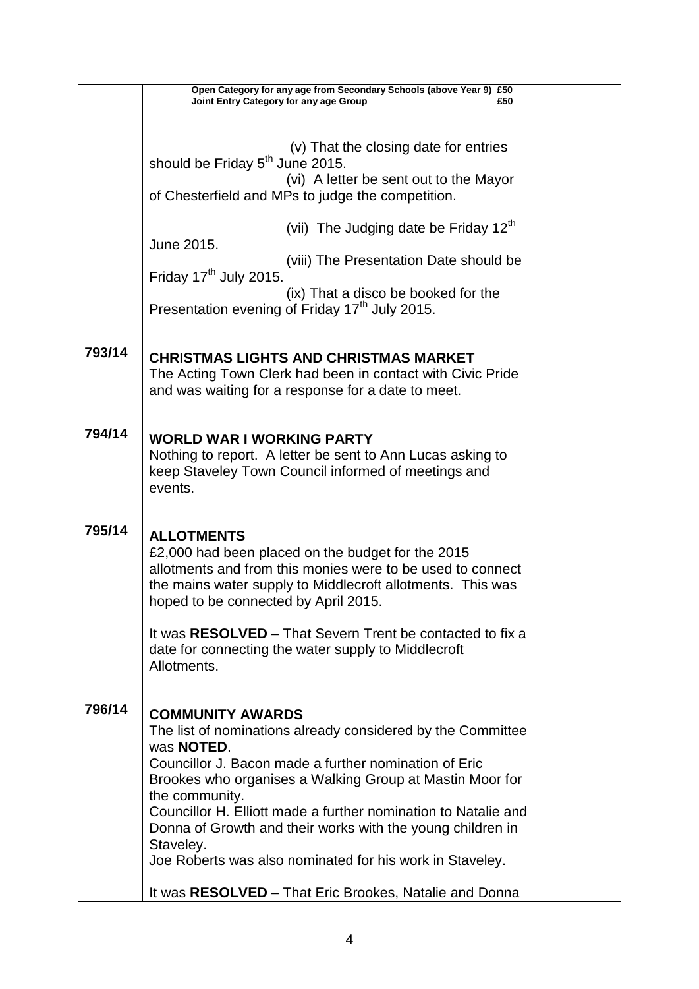|        |                                                            | Open Category for any age from Secondary Schools (above Year 9) £50                                        |     |  |  |
|--------|------------------------------------------------------------|------------------------------------------------------------------------------------------------------------|-----|--|--|
|        | Joint Entry Category for any age Group                     |                                                                                                            | £50 |  |  |
|        |                                                            |                                                                                                            |     |  |  |
|        |                                                            | (v) That the closing date for entries                                                                      |     |  |  |
|        | should be Friday 5 <sup>th</sup> June 2015.                |                                                                                                            |     |  |  |
|        |                                                            | (vi) A letter be sent out to the Mayor<br>of Chesterfield and MPs to judge the competition.                |     |  |  |
|        |                                                            |                                                                                                            |     |  |  |
|        |                                                            | (vii) The Judging date be Friday 12 <sup>th</sup>                                                          |     |  |  |
|        | June 2015.                                                 |                                                                                                            |     |  |  |
|        | Friday $17th$ July 2015.                                   | (viii) The Presentation Date should be                                                                     |     |  |  |
|        |                                                            | (ix) That a disco be booked for the                                                                        |     |  |  |
|        |                                                            | Presentation evening of Friday 17 <sup>th</sup> July 2015.                                                 |     |  |  |
|        |                                                            |                                                                                                            |     |  |  |
| 793/14 |                                                            |                                                                                                            |     |  |  |
|        |                                                            | <b>CHRISTMAS LIGHTS AND CHRISTMAS MARKET</b><br>The Acting Town Clerk had been in contact with Civic Pride |     |  |  |
|        |                                                            | and was waiting for a response for a date to meet.                                                         |     |  |  |
|        |                                                            |                                                                                                            |     |  |  |
| 794/14 |                                                            |                                                                                                            |     |  |  |
|        | <b>WORLD WAR I WORKING PARTY</b>                           | Nothing to report. A letter be sent to Ann Lucas asking to                                                 |     |  |  |
|        |                                                            | keep Staveley Town Council informed of meetings and                                                        |     |  |  |
|        | events.                                                    |                                                                                                            |     |  |  |
|        |                                                            |                                                                                                            |     |  |  |
| 795/14 | <b>ALLOTMENTS</b>                                          |                                                                                                            |     |  |  |
|        |                                                            | £2,000 had been placed on the budget for the 2015                                                          |     |  |  |
|        | allotments and from this monies were to be used to connect |                                                                                                            |     |  |  |
|        | the mains water supply to Middlecroft allotments. This was |                                                                                                            |     |  |  |
|        | hoped to be connected by April 2015.                       |                                                                                                            |     |  |  |
|        |                                                            | It was <b>RESOLVED</b> – That Severn Trent be contacted to fix a                                           |     |  |  |
|        | date for connecting the water supply to Middlecroft        |                                                                                                            |     |  |  |
|        | Allotments.                                                |                                                                                                            |     |  |  |
|        |                                                            |                                                                                                            |     |  |  |
| 796/14 | <b>COMMUNITY AWARDS</b>                                    |                                                                                                            |     |  |  |
|        |                                                            | The list of nominations already considered by the Committee                                                |     |  |  |
|        | was <b>NOTED</b> .                                         |                                                                                                            |     |  |  |
|        |                                                            | Councillor J. Bacon made a further nomination of Eric                                                      |     |  |  |
|        | the community.                                             | Brookes who organises a Walking Group at Mastin Moor for                                                   |     |  |  |
|        |                                                            | Councillor H. Elliott made a further nomination to Natalie and                                             |     |  |  |
|        |                                                            | Donna of Growth and their works with the young children in                                                 |     |  |  |
|        | Staveley.                                                  |                                                                                                            |     |  |  |
|        |                                                            | Joe Roberts was also nominated for his work in Staveley.                                                   |     |  |  |
|        |                                                            | It was RESOLVED - That Eric Brookes, Natalie and Donna                                                     |     |  |  |